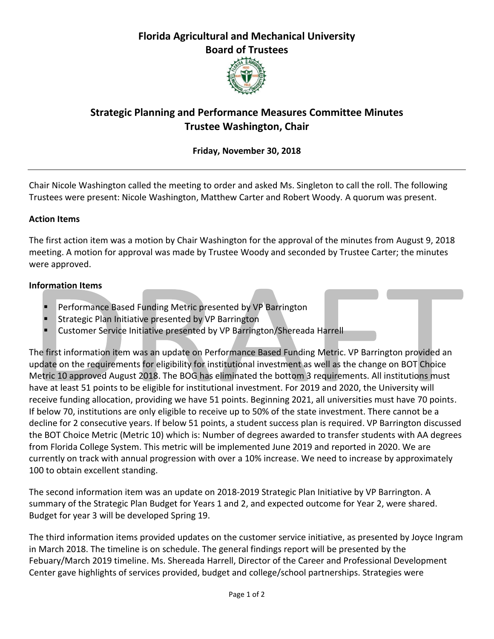## **Florida Agricultural and Mechanical University Board of Trustees**



# **Strategic Planning and Performance Measures Committee Minutes Trustee Washington, Chair**

## **Friday, November 30, 2018**

Chair Nicole Washington called the meeting to order and asked Ms. Singleton to call the roll. The following Trustees were present: Nicole Washington, Matthew Carter and Robert Woody. A quorum was present.

### **Action Items**

The first action item was a motion by Chair Washington for the approval of the minutes from August 9, 2018 meeting. A motion for approval was made by Trustee Woody and seconded by Trustee Carter; the minutes were approved.

### **Information Items**

- Performance Based Funding Metric presented by VP Barrington
- Strategic Plan Initiative presented by VP Barrington
- Customer Service Initiative presented by VP Barrington/Shereada Harrell

The first information item was an update on Performance Based Funding Metric. VP Barrington provided an update on the requirements for eligibility for institutional investment as well as the change on BOT Choice Metric 10 approved August 2018. The BOG has eliminated the bottom 3 requirements. All institutions must have at least 51 points to be eligible for institutional investment. For 2019 and 2020, the University will receive funding allocation, providing we have 51 points. Beginning 2021, all universities must have 70 points. If below 70, institutions are only eligible to receive up to 50% of the state investment. There cannot be a decline for 2 consecutive years. If below 51 points, a student success plan is required. VP Barrington discussed the BOT Choice Metric (Metric 10) which is: Number of degrees awarded to transfer students with AA degrees from Florida College System. This metric will be implemented June 2019 and reported in 2020. We are currently on track with annual progression with over a 10% increase. We need to increase by approximately 100 to obtain excellent standing.

The second information item was an update on 2018-2019 Strategic Plan Initiative by VP Barrington. A summary of the Strategic Plan Budget for Years 1 and 2, and expected outcome for Year 2, were shared. Budget for year 3 will be developed Spring 19.

The third information items provided updates on the customer service initiative, as presented by Joyce Ingram in March 2018. The timeline is on schedule. The general findings report will be presented by the Febuary/March 2019 timeline. Ms. Shereada Harrell, Director of the Career and Professional Development Center gave highlights of services provided, budget and college/school partnerships. Strategies were